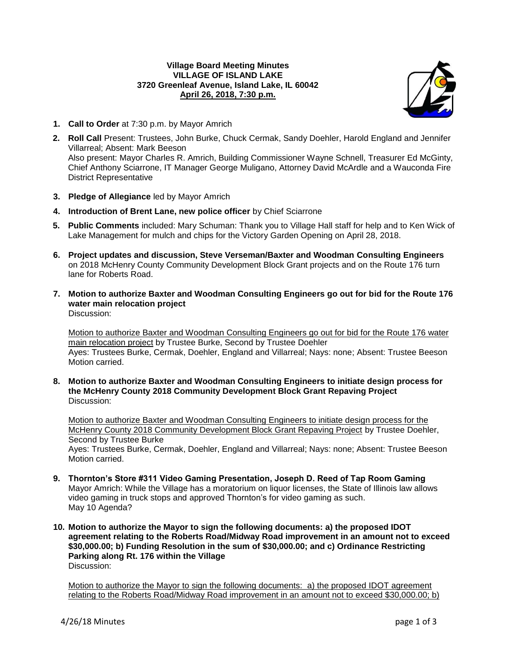# **Village Board Meeting Minutes VILLAGE OF ISLAND LAKE 3720 Greenleaf Avenue, Island Lake, IL 60042 April 26, 2018, 7:30 p.m.**



- **1. Call to Order** at 7:30 p.m. by Mayor Amrich
- **2. Roll Call** Present: Trustees, John Burke, Chuck Cermak, Sandy Doehler, Harold England and Jennifer Villarreal; Absent: Mark Beeson Also present: Mayor Charles R. Amrich, Building Commissioner Wayne Schnell, Treasurer Ed McGinty, Chief Anthony Sciarrone, IT Manager George Muligano, Attorney David McArdle and a Wauconda Fire District Representative
- **3. Pledge of Allegiance** led by Mayor Amrich
- **4. Introduction of Brent Lane, new police officer** by Chief Sciarrone
- **5. Public Comments** included: Mary Schuman: Thank you to Village Hall staff for help and to Ken Wick of Lake Management for mulch and chips for the Victory Garden Opening on April 28, 2018.
- **6. Project updates and discussion, Steve Verseman/Baxter and Woodman Consulting Engineers** on 2018 McHenry County Community Development Block Grant projects and on the Route 176 turn lane for Roberts Road.
- **7. Motion to authorize Baxter and Woodman Consulting Engineers go out for bid for the Route 176 water main relocation project** Discussion:

Motion to authorize Baxter and Woodman Consulting Engineers go out for bid for the Route 176 water main relocation project by Trustee Burke, Second by Trustee Doehler Ayes: Trustees Burke, Cermak, Doehler, England and Villarreal; Nays: none; Absent: Trustee Beeson Motion carried.

**8. Motion to authorize Baxter and Woodman Consulting Engineers to initiate design process for the McHenry County 2018 Community Development Block Grant Repaving Project** Discussion:

Motion to authorize Baxter and Woodman Consulting Engineers to initiate design process for the McHenry County 2018 Community Development Block Grant Repaving Project by Trustee Doehler, Second by Trustee Burke

Ayes: Trustees Burke, Cermak, Doehler, England and Villarreal; Nays: none; Absent: Trustee Beeson Motion carried.

- **9. Thornton's Store #311 Video Gaming Presentation, Joseph D. Reed of Tap Room Gaming** Mayor Amrich: While the Village has a moratorium on liquor licenses, the State of Illinois law allows video gaming in truck stops and approved Thornton's for video gaming as such. May 10 Agenda?
- **10. Motion to authorize the Mayor to sign the following documents: a) the proposed IDOT agreement relating to the Roberts Road/Midway Road improvement in an amount not to exceed \$30,000.00; b) Funding Resolution in the sum of \$30,000.00; and c) Ordinance Restricting Parking along Rt. 176 within the Village** Discussion:

Motion to authorize the Mayor to sign the following documents: a) the proposed IDOT agreement relating to the Roberts Road/Midway Road improvement in an amount not to exceed \$30,000.00; b)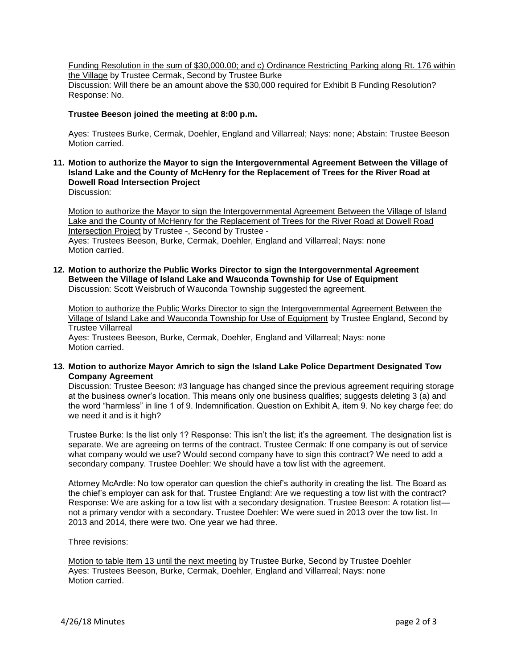Funding Resolution in the sum of \$30,000.00; and c) Ordinance Restricting Parking along Rt. 176 within the Village by Trustee Cermak, Second by Trustee Burke Discussion: Will there be an amount above the \$30,000 required for Exhibit B Funding Resolution? Response: No.

# **Trustee Beeson joined the meeting at 8:00 p.m.**

Ayes: Trustees Burke, Cermak, Doehler, England and Villarreal; Nays: none; Abstain: Trustee Beeson Motion carried.

**11. Motion to authorize the Mayor to sign the Intergovernmental Agreement Between the Village of Island Lake and the County of McHenry for the Replacement of Trees for the River Road at Dowell Road Intersection Project** Discussion:

Motion to authorize the Mayor to sign the Intergovernmental Agreement Between the Village of Island Lake and the County of McHenry for the Replacement of Trees for the River Road at Dowell Road Intersection Project by Trustee -, Second by Trustee - Ayes: Trustees Beeson, Burke, Cermak, Doehler, England and Villarreal; Nays: none Motion carried.

**12. Motion to authorize the Public Works Director to sign the Intergovernmental Agreement Between the Village of Island Lake and Wauconda Township for Use of Equipment** Discussion: Scott Weisbruch of Wauconda Township suggested the agreement.

Motion to authorize the Public Works Director to sign the Intergovernmental Agreement Between the Village of Island Lake and Wauconda Township for Use of Equipment by Trustee England, Second by Trustee Villarreal Ayes: Trustees Beeson, Burke, Cermak, Doehler, England and Villarreal; Nays: none

Motion carried.

**13. Motion to authorize Mayor Amrich to sign the Island Lake Police Department Designated Tow Company Agreement**

Discussion: Trustee Beeson: #3 language has changed since the previous agreement requiring storage at the business owner's location. This means only one business qualifies; suggests deleting 3 (a) and the word "harmless" in line 1 of 9. Indemnification. Question on Exhibit A, item 9. No key charge fee; do we need it and is it high?

Trustee Burke: Is the list only 1? Response: This isn't the list; it's the agreement. The designation list is separate. We are agreeing on terms of the contract. Trustee Cermak: If one company is out of service what company would we use? Would second company have to sign this contract? We need to add a secondary company. Trustee Doehler: We should have a tow list with the agreement.

Attorney McArdle: No tow operator can question the chief's authority in creating the list. The Board as the chief's employer can ask for that. Trustee England: Are we requesting a tow list with the contract? Response: We are asking for a tow list with a secondary designation. Trustee Beeson: A rotation list not a primary vendor with a secondary. Trustee Doehler: We were sued in 2013 over the tow list. In 2013 and 2014, there were two. One year we had three.

Three revisions:

Motion to table Item 13 until the next meeting by Trustee Burke, Second by Trustee Doehler Ayes: Trustees Beeson, Burke, Cermak, Doehler, England and Villarreal; Nays: none Motion carried.